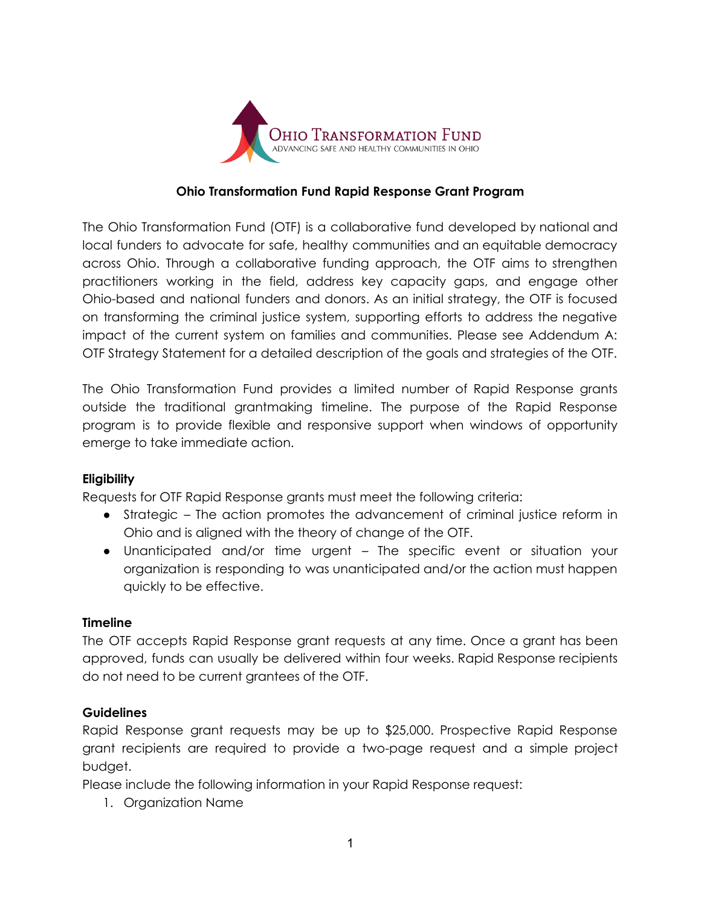

#### **Ohio Transformation Fund Rapid Response Grant Program**

The Ohio Transformation Fund (OTF) is a collaborative fund developed by national and local funders to advocate for safe, healthy communities and an equitable democracy across Ohio. Through a collaborative funding approach, the OTF aims to strengthen practitioners working in the field, address key capacity gaps, and engage other Ohio-based and national funders and donors. As an initial strategy, the OTF is focused on transforming the criminal justice system, supporting efforts to address the negative impact of the current system on families and communities. Please see Addendum A: OTF Strategy Statement for a detailed description of the goals and strategies of the OTF.

The Ohio Transformation Fund provides a limited number of Rapid Response grants outside the traditional grantmaking timeline. The purpose of the Rapid Response program is to provide flexible and responsive support when windows of opportunity emerge to take immediate action.

## **Eligibility**

Requests for OTF Rapid Response grants must meet the following criteria:

- Strategic The action promotes the advancement of criminal justice reform in Ohio and is aligned with the theory of change of the OTF.
- Unanticipated and/or time urgent The specific event or situation your organization is responding to was unanticipated and/or the action must happen quickly to be effective.

## **Timeline**

The OTF accepts Rapid Response grant requests at any time. Once a grant has been approved, funds can usually be delivered within four weeks. Rapid Response recipients do not need to be current grantees of the OTF.

## **Guidelines**

Rapid Response grant requests may be up to \$25,000. Prospective Rapid Response grant recipients are required to provide a two-page request and a simple project budget.

Please include the following information in your Rapid Response request:

1. Organization Name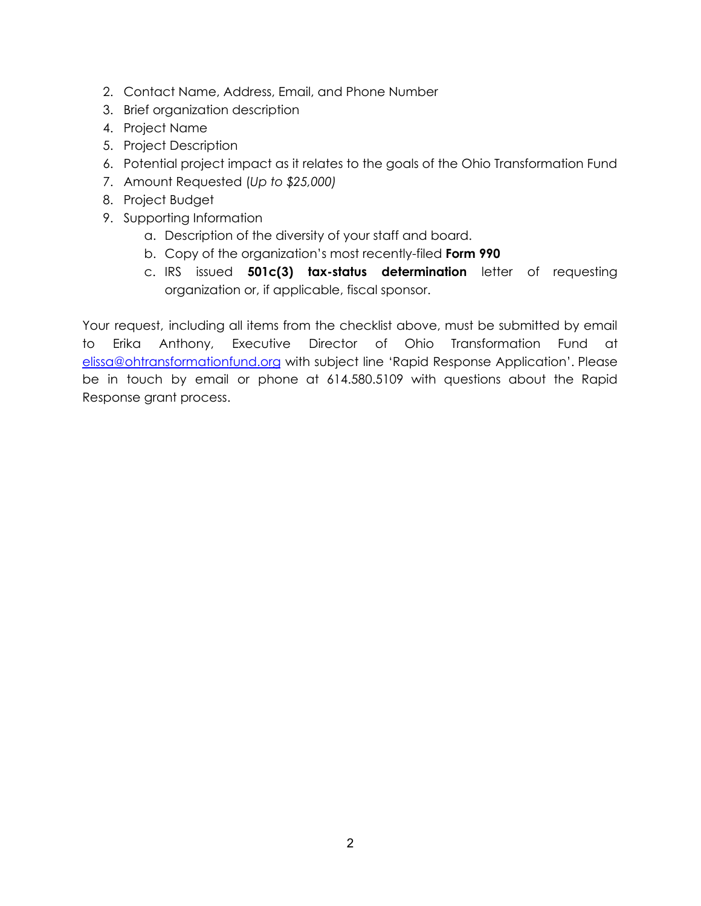- 2. Contact Name, Address, Email, and Phone Number
- 3. Brief organization description
- 4. Project Name
- 5. Project Description
- 6. Potential project impact as it relates to the goals of the Ohio Transformation Fund
- 7. Amount Requested (*Up to \$25,000)*
- 8. Project Budget
- 9. Supporting Information
	- a. Description of the diversity of your staff and board.
	- b. Copy of the organization's most recently-filed **Form 990**
	- c. IRS issued **501c(3) tax-status determination** letter of requesting organization or, if applicable, fiscal sponsor.

Your request, including all items from the checklist above, must be submitted by email to Erika Anthony, Executive Director of Ohio Transformation Fund at [elissa@ohtransformationfund.org](mailto:eanthony@ohtransformationfund.org) with subject line 'Rapid Response Application'. Please be in touch by email or phone at 614.580.5109 with questions about the Rapid Response grant process.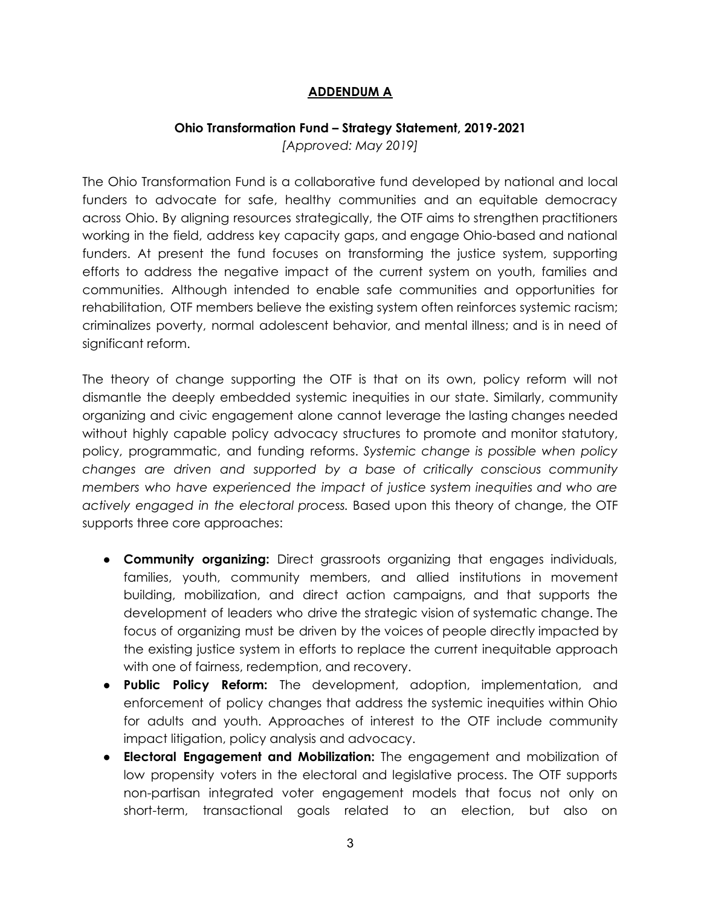# **ADDENDUM A**

#### **Ohio Transformation Fund – Strategy Statement, 2019-2021**

*[Approved: May 2019]*

The Ohio Transformation Fund is a collaborative fund developed by national and local funders to advocate for safe, healthy communities and an equitable democracy across Ohio. By aligning resources strategically, the OTF aims to strengthen practitioners working in the field, address key capacity gaps, and engage Ohio-based and national funders. At present the fund focuses on transforming the justice system, supporting efforts to address the negative impact of the current system on youth, families and communities. Although intended to enable safe communities and opportunities for rehabilitation, OTF members believe the existing system often reinforces systemic racism; criminalizes poverty, normal adolescent behavior, and mental illness; and is in need of significant reform.

The theory of change supporting the OTF is that on its own, policy reform will not dismantle the deeply embedded systemic inequities in our state. Similarly, community organizing and civic engagement alone cannot leverage the lasting changes needed without highly capable policy advocacy structures to promote and monitor statutory, policy, programmatic, and funding reforms. *Systemic change is possible when policy changes are driven and supported by a base of critically conscious community members who have experienced the impact of justice system inequities and who are actively engaged in the electoral process.* Based upon this theory of change, the OTF supports three core approaches:

- **Community organizing:** Direct grassroots organizing that engages individuals, families, youth, community members, and allied institutions in movement building, mobilization, and direct action campaigns, and that supports the development of leaders who drive the strategic vision of systematic change. The focus of organizing must be driven by the voices of people directly impacted by the existing justice system in efforts to replace the current inequitable approach with one of fairness, redemption, and recovery.
- **Public Policy Reform:** The development, adoption, implementation, and enforcement of policy changes that address the systemic inequities within Ohio for adults and youth. Approaches of interest to the OTF include community impact litigation, policy analysis and advocacy.
- **Electoral Engagement and Mobilization:** The engagement and mobilization of low propensity voters in the electoral and legislative process. The OTF supports non-partisan integrated voter engagement models that focus not only on short-term, transactional goals related to an election, but also on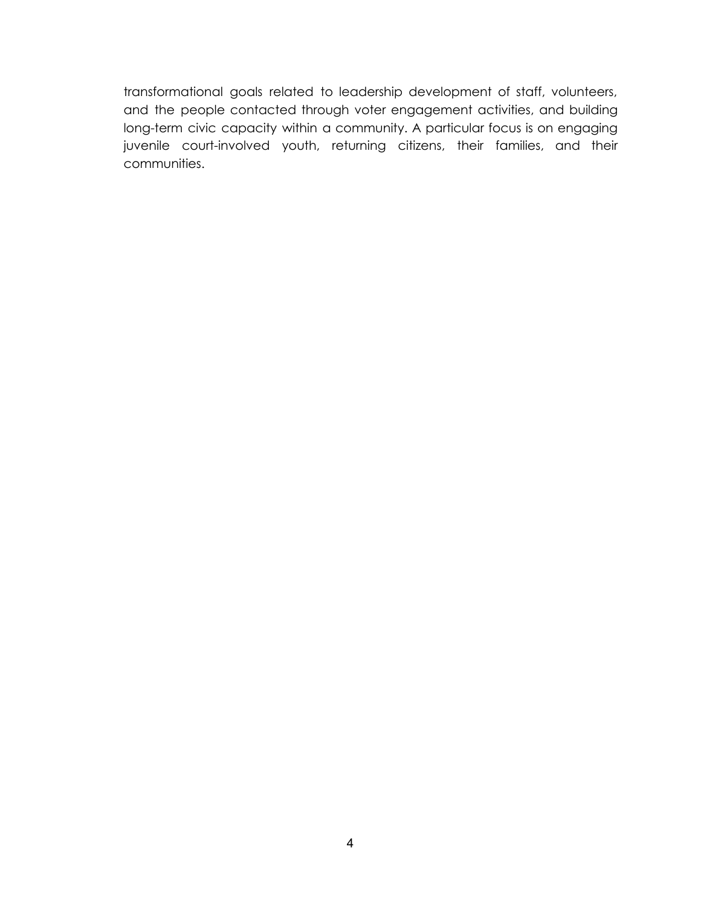transformational goals related to leadership development of staff, volunteers, and the people contacted through voter engagement activities, and building long-term civic capacity within a community. A particular focus is on engaging juvenile court-involved youth, returning citizens, their families, and their communities.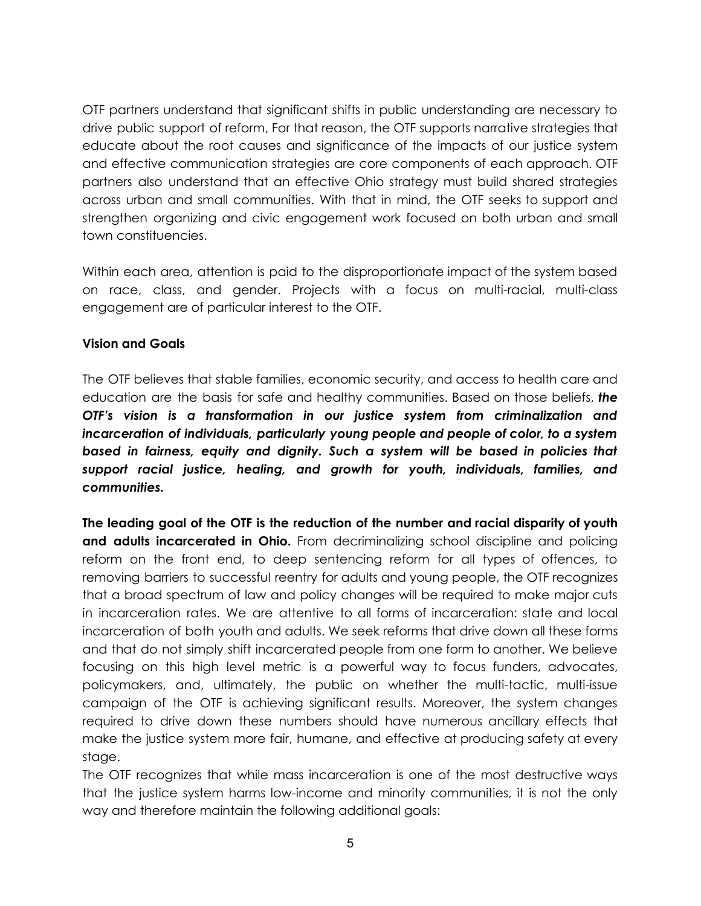OTF partners understand that significant shifts in public understanding are necessary to drive public support of reform, For that reason, the OTF supports narrative strategies that educate about the root causes and significance of the impacts of our justice system and effective communication strategies are core components of each approach. OTF partners also understand that an effective Ohio strategy must build shared strategies across urban and small communities. With that in mind, the OTF seeks to support and strengthen organizing and civic engagement work focused on both urban and small town constituencies.

Within each area, attention is paid to the disproportionate impact of the system based on race, class, and gender. Projects with a focus on multi-racial, multi-class engagement are of particular interest to the OTF.

# **Vision and Goals**

The OTF believes that stable families, economic security, and access to health care and education are the basis for safe and healthy communities. Based on those beliefs, *the OTF's vision is a transformation in our justice system from criminalization and incarceration of individuals, particularly young people and people of color, to a system based in fairness, equity and dignity. Such a system will be based in policies that support racial justice, healing, and growth for youth, individuals, families, and communities.*

**The leading goal of the OTF is the reduction of the number and racial disparity of youth and adults incarcerated in Ohio.** From decriminalizing school discipline and policing reform on the front end, to deep sentencing reform for all types of offences, to removing barriers to successful reentry for adults and young people, the OTF recognizes that a broad spectrum of law and policy changes will be required to make major cuts in incarceration rates. We are attentive to all forms of incarceration: state and local incarceration of both youth and adults. We seek reforms that drive down all these forms and that do not simply shift incarcerated people from one form to another. We believe focusing on this high level metric is a powerful way to focus funders, advocates, policymakers, and, ultimately, the public on whether the multi-tactic, multi-issue campaign of the OTF is achieving significant results. Moreover, the system changes required to drive down these numbers should have numerous ancillary effects that make the justice system more fair, humane, and effective at producing safety at every stage.

The OTF recognizes that while mass incarceration is one of the most destructive ways that the justice system harms low-income and minority communities, it is not the only way and therefore maintain the following additional goals: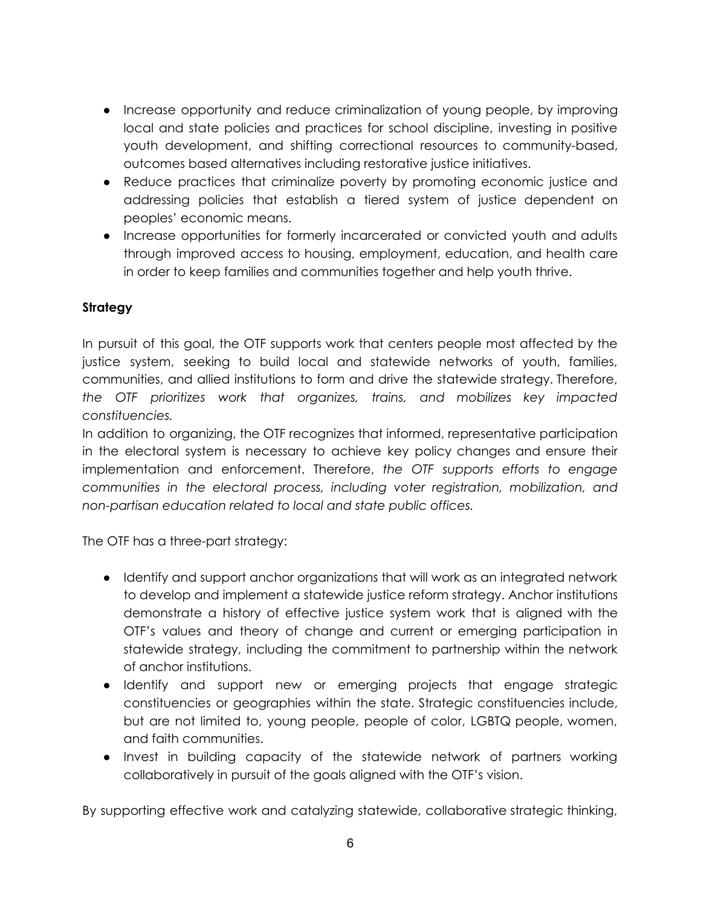- Increase opportunity and reduce criminalization of young people, by improving local and state policies and practices for school discipline, investing in positive youth development, and shifting correctional resources to community-based, outcomes based alternatives including restorative justice initiatives.
- Reduce practices that criminalize poverty by promoting economic justice and addressing policies that establish a tiered system of justice dependent on peoples' economic means.
- Increase opportunities for formerly incarcerated or convicted youth and adults through improved access to housing, employment, education, and health care in order to keep families and communities together and help youth thrive.

# **Strategy**

In pursuit of this goal, the OTF supports work that centers people most affected by the justice system, seeking to build local and statewide networks of youth, families, communities, and allied institutions to form and drive the statewide strategy. Therefore, *the OTF prioritizes work that organizes, trains, and mobilizes key impacted constituencies.*

In addition to organizing, the OTF recognizes that informed, representative participation in the electoral system is necessary to achieve key policy changes and ensure their implementation and enforcement. Therefore, *the OTF supports efforts to engage communities in the electoral process, including voter registration, mobilization, and non-partisan education related to local and state public offices.*

The OTF has a three-part strategy:

- Identify and support anchor organizations that will work as an integrated network to develop and implement a statewide justice reform strategy. Anchor institutions demonstrate a history of effective justice system work that is aligned with the OTF's values and theory of change and current or emerging participation in statewide strategy, including the commitment to partnership within the network of anchor institutions.
- Identify and support new or emerging projects that engage strategic constituencies or geographies within the state. Strategic constituencies include, but are not limited to, young people, people of color, LGBTQ people, women, and faith communities.
- Invest in building capacity of the statewide network of partners working collaboratively in pursuit of the goals aligned with the OTF's vision.

By supporting effective work and catalyzing statewide, collaborative strategic thinking,